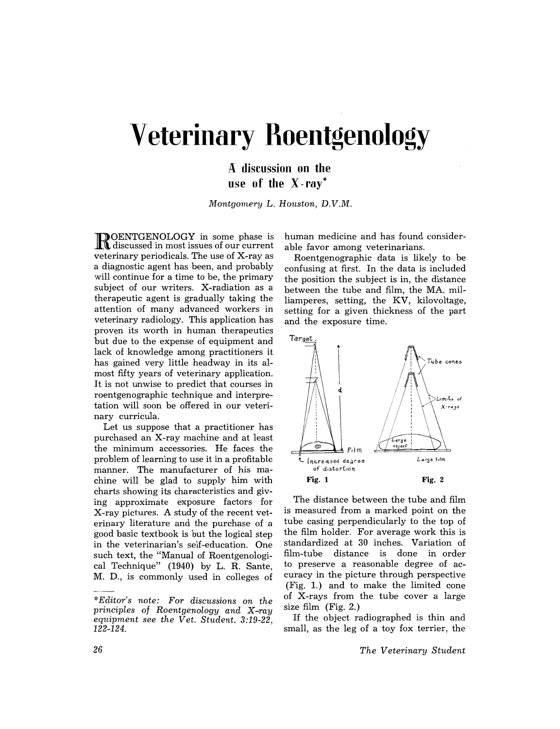# **Veterinary Roentgenology**

A discussion on the use of the X -ray\*

*Montgomery* L. *Houston, D.V.M.* 

ROENTGENOLOGY in some phase is discussed in most issues of our current veterinary periodicals. The use of X-ray as a diagnostic agent has been, and probably will continue for a time to be, the primary subject of our writers. X-radiation as a therapeutic agent is gradually taking the attention of many advanced workers in veterinary radiology. This application has proven its worth in human therapeutics but due to the expense of equipment and lack of knowledge among practitioners it has gained very little headway in its almost fifty years of veterinary application. It is not unwise to predict that courses in roentgenographic technique and interpretation will soon be offered in our veterinary curricula.

Let us suppose that a practitioner has purchased an X-ray machine and at least the minimum accessories. He faces the problem of learning to use it in a profitable manner. The manufacturer of his machine will be glad to supply him with charts showing its characteristics and giving approximate exposure factors for X-ray pictures. A study of the recent vet~ erinary literature and the purchase of a good basic textbook is but the logical step in the veterinarian's self-education. One such text, the "Manual of Roentgenological Technique" (1940) by L. R. Sante, M. D., is commonly used in colleges of

human medicine and has found considerable favor among veterinarians.

Roentgenographic data is likely to be confusing at first. In the data is included the position the subject is in, the distance between the tube and film, the MA, milliamperes, setting, the KV, kilovoltage, setting for a given thickness of the part and the exposure time.



The distance between the tube and film is measured from a marked point on the tube casing perpendicularly to the top of the film holder. For average work this is standardized at 30 inches. Variation of film-tube distance is done in order to preserve a reasonable degree of accuracy in the picture through perspective (Fig. 1.) and to make the limited cone of X-rays from the tube cover a large size film (Fig. 2.)

If the object radiographed is thin and small, as the leg of a toy fox terrier, the

*The Veterinary Student* 

*<sup>\*</sup>Editor's note: For discussions on the principles of Roentgenology and X-ray equipment see the Vet. Student. 3:19-22,*  122-124.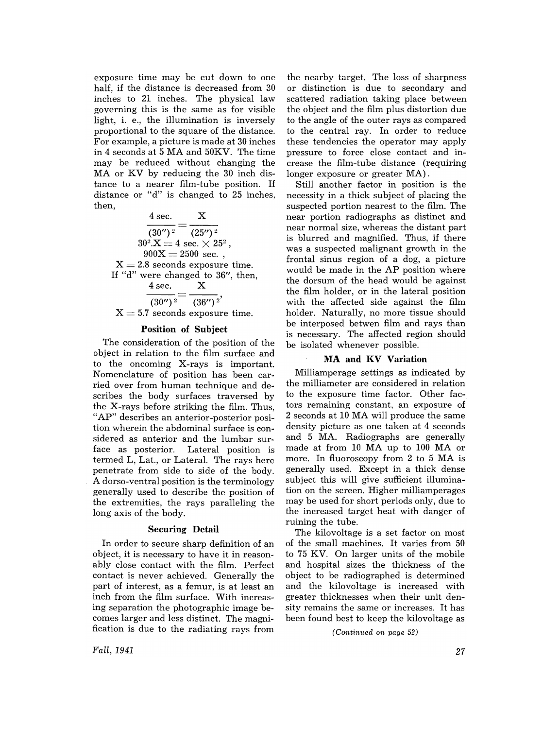exposure time may be cut down to one half, if the distance is decreased from 30 inches to 21 inches. The physical law governing this is the same as for visible light, i. e., the illumination is inversely proportional to the square of the distance. For example, a picture is made at 30 inches in 4 seconds at 5 MA and 50KV. The time may be reduced without changing the MA or KV by reducing the 30 inch distance to a nearer film-tube position. If distance or "d" is changed to 25 inches. then,

4 sec. X  $\frac{1}{(30'')^2} = \frac{1}{(25'')^2}$  $30^2.\mathrm{X}=4$  sec.  $\times$   $25^2$  ,  $900X = 2500$  sec.,  $X = 2.8$  seconds exposure time. If "d" were changed to 36", then,<br> $\frac{4}{5}$  sec  $\frac{8}{5}$  $4$  sec.  $\frac{4 \text{ sec.}}{(30'')^2} = \frac{X}{(36'')^2}$  $X = 5.7$  seconds exposure time.

## Position of Subject

The consideration of the position of the object in relation to the film surface and to the oncoming X-rays is important. Nomenclature of position has been carried over from human technique and describes the body surfaces traversed by the X-rays before striking the film. Thus, "AP" describes an anterior-posterior position wherein the abdominal surface is considered as anterior and the lumbar surface as posterior. Lateral position is termed L, Lat., or Lateral. The rays here penetrate from side to side of the body. A dorso-ventral position is the terminology generally used to describe the position of the extremities, the rays paralleling the long axis of the body.

#### Securing Detail

In order to secure sharp definition of an object, it is necessary to have it in reasonably close contact with the film. Perfect contact is never achieved. Generally the part of interest, as a femur, is at least an inch from the film surface. With increasing separation the photographic image becomes larger and less distinct. The magnification is due to the radiating rays from

the nearby target. The loss of sharpness or distinction is due to secondary and scattered radiation taking place between the object and the film plus distortion due to the angle of the outer rays as compared to the central ray. In order to reduce these tendencies the operator may apply pressure to force close contact and increase the film-tube distance (requiring longer exposure or greater MA).

Still another factor in position is the necessity in a thick subject of placing the suspected portion nearest to the film. The near portion radiographs as distinct and near normal size, whereas the distant part is blurred and magnified. Thus, if there was a suspected malignant growth in the frontal sinus region of a dog, a picture would be made in the AP position where the dorsum of the head would be against the film holder, or in the lateral position with the affected side against the film holder. Naturally, no more tissue should be interposed betwen film and rays than is necessary. The affected region should be isolated whenever possible.

### **MA** and KV Variation

Milliamperage settings as indicated by the milliameter are considered in relation to the exposure time factor. Other factors remaining constant, an exposure of 2 seconds at 10 MA will produce the same density picture as one taken at 4 seconds and 5 MA. Radiographs are generally made at from 10 MA up to 100 MA or more. In fluoroscopy from 2 to 5 MA is generally used. Except in a thick dense subject this will give sufficient illumination on the screen. Higher milliamperages may be used for short periods only, due to the increased target heat with danger of ruining the tube.

The kilovoltage is a set factor on most of the small machines. It varies from 50 to 75 KV. On larger units of the mobile and hospital sizes the thickness of the object to be radiographed is determined and the kilovoltage is increased with greater thicknesses when their unit density remains the same or increases. It has been found best to keep the kilovoltage as

*(Continued on page 52)* 

*Fall, 1941*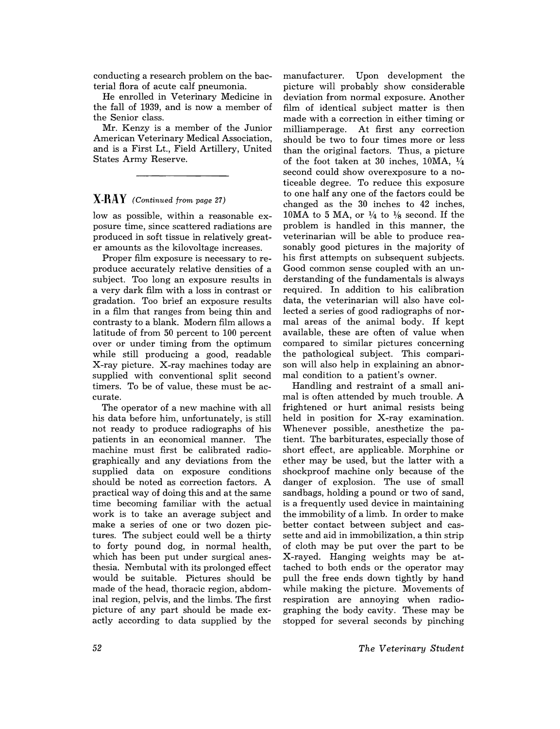conducting a research problem on the bacterial flora of acute calf pneumonia.

He enrolled in Veterinary Medicine in the fall of 1939, and is now a member of the Senior class.

Mr. Kenzy is a member of the Junior American Veterinary Medical Association, and is a First Lt., Field Artillery, United States Army Reserve.

## **X-RAY** *(Continued from page 27)*

low as possible, within a reasonable exposure time, since scattered radiations are produced in soft tissue in relatively greater amounts as the kilovoltage increases.

Proper film exposure is necessary to reproduce accurately relative densities of a subject. Too long an exposure results in a very dark film with a loss in contrast or gradation. Too brief an exposure results in a film that ranges from being thin and contrasty to a blank. Modern film allows a latitude of from 50 percent to 100 percent over or under timing from the optimum while still producing a good, readable X-ray picture. X-ray machines today are supplied with conventional split second timers. To be of value, these must be accurate.

The operator of a new machine with all his data before him, unfortunately, is still not ready to produce radiographs of his patients in an economical manner. The machine must first be calibrated radiographically and any deviations from the supplied data on exposure conditions should be noted as correction factors. A practical way of doing this and at the same time becoming familiar with the actual work is to take an average subject and make a series of one or two dozen pictures. The subject could well be a thirty to forty pound dog, in normal health, which has been put under surgical anesthesia. Nembutal with its prolonged effect would be suitable. Pictures should be made of the head, thoracic region, abdominal region, pelvis, and the limbs. The first picture of any part should be made exactly according to data supplied by the

manufacturer. Upon development the picture will probably show considerable deviation from normal exposure. Another film of identical subject matter is then made with a correction in either timing or milliamperage. At first any correction should be two to four times more or less than the original factors. Thus, a picture of the foot taken at 30 inches,  $10MA$ ,  $\frac{1}{4}$ second could show overexposure to a noticeable degree. To reduce this exposure to one half anyone of the factors could be changed as the 30 inches to 42 inches, 10MA to 5 MA, or  $\frac{1}{4}$  to  $\frac{1}{8}$  second. If the problem is handled in this manner, the veterinarian will be able to produce reasonably good pictures in the majority of his first attempts on subsequent subjects. Good common sense coupled with an understanding of the fundamentals is always required. In addition to his calibration data, the veterinarian will also have collected a series of good radiographs of normal areas of the animal body. If kept available, these are often of value when compared to similar pictures concerning the pathological subject. This comparison will also help in explaining an abnormal condition to a patient's owner.

Handling and restraint of a small animal is often attended by much trouble. A frightened or hurt animal resists being held in position for X-ray examination. Whenever possible, anesthetize the patient. The barbiturates, especially those of short effect, are applicable. Morphine or ether may be used, but the latter with a shockproof machine only because of the danger of explosion. The use of small sandbags, holding a pound or two of sand, is a frequently used device in maintaining the immobility of a limb. In order to make better contact between subject and cassette and aid in immobilization, a thin strip of cloth may be put over the part to be X-rayed. Hanging weights may be attached to both ends or the operator may pull the free ends down tightly by hand while making the picture. Movements of respiration are annoying when radiographing the body cavity. These may be stopped for several seconds by pinching